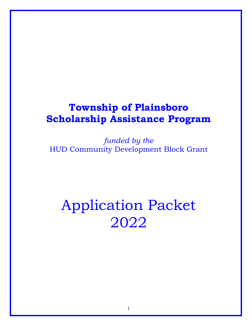## **Township of Plainsboro Scholarship Assistance Program**

*funded by the* HUD Community Development Block Grant

# Application Packet 2022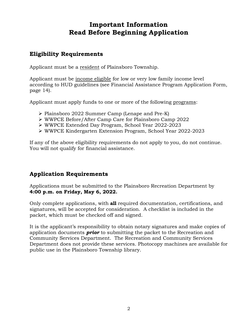## **Important Information Read Before Beginning Application**

## **Eligibility Requirements**

Applicant must be a resident of Plainsboro Township.

Applicant must be income eligible for low or very low family income level according to HUD guidelines (see Financial Assistance Program Application Form, page 14).

Applicant must apply funds to one or more of the following programs:

- Plainsboro 2022 Summer Camp (Lenape and Pre-K)
- WWPCE Before/After Camp Care for Plainsboro Camp 2022
- WWPCE Extended Day Program, School Year 2022-2023
- WWPCE Kindergarten Extension Program, School Year 2022-2023

If any of the above eligibility requirements do not apply to you, do not continue. You will not qualify for financial assistance.

## **Application Requirements**

Applications must be submitted to the Plainsboro Recreation Department by **4:00 p.m. on Friday, May 6, 2022.**

Only complete applications, with **all** required documentation, certifications, and signatures, will be accepted for consideration. A checklist is included in the packet, which must be checked off and signed.

It is the applicant's responsibility to obtain notary signatures and make copies of application documents *prior* to submitting the packet to the Recreation and Community Services Department. The Recreation and Community Services Department does not provide these services. Photocopy machines are available for public use in the Plainsboro Township library.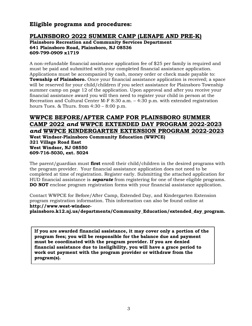## **Eligible programs and procedures:**

## **PLAINSBORO 2022 SUMMER CAMP (LENAPE AND PRE-K)**

**Plainsboro Recreation and Community Services Department 641 Plainsboro Road, Plainsboro, NJ 08536 609-799-0909 x1719**

A non-refundable financial assistance application fee of \$25 per family is required and must be paid and submitted with your completed financial assistance application. Applications must be accompanied by cash, money order or check made payable to: **Township of Plainsboro.** Once your financial assistance application is received; a space will be reserved for your child/children if you select assistance for Plainsboro Township summer camp on page 12 of the application. Upon approval and after you receive your financial assistance award you will then need to register your child in person at the Recreation and Cultural Center M-F 8:30 a.m. – 4:30 p.m. with extended registration hours Tues.  $&$  Thurs. from  $4:30 - 8:00$  p.m.

## **WWPCE BEFORE/AFTER CAMP FOR PLAINSBORO SUMMER CAMP 2022** *and* **WWPCE EXTENDED DAY PROGRAM 2022-2023** *and* **WWPCE KINDERGARTEN EXTENSION PROGRAM 2022-2023**

**West Windsor-Plainsboro Community Education (WWPCE) 321 Village Road East West Windsor, NJ 08550 609-716-5030, ext. 5024**

The parent/guardian must **first** enroll their child/children in the desired programs with the program provider. Your financial assistance application does not need to be completed at time of registration. Register early. Submitting the attached application for HUD financial assistance is *separate* from registering for one of these eligible programs. **DO NOT** enclose program registration forms with your financial assistance application.

Contact WWPCE for Before/After Camp, Extended Day, and Kindergarten Extension program registration information. This information can also be found online at **http://www.west-windsor-**

**plainsboro.k12.nj.us/departments/Community\_Education/extended\_day\_program.**

**If you are awarded financial assistance, it may cover only a portion of the program fees; you will be responsible for the balance due and payment must be coordinated with the program provider. If you are denied financial assistance due to ineligibility, you will have a grace period to work out payment with the program provider or withdraw from the program(s).**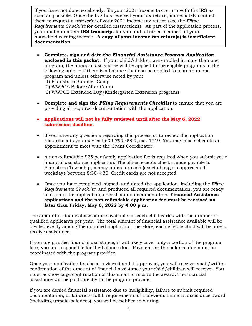If you have not done so already, file your 2021 income tax return with the IRS as soon as possible. Once the IRS has received your tax return, immediately contact them to request a *transcript* of your 2021 income tax return (see the *Filing Requirements Checklist* for detailed instructions). As part of the application process, you must submit an **IRS transcript** for you and all other members of your household earning income. **A copy of your income tax return(s) is insufficient documentation.** 

- **Complete, sign and date the** *Financial Assistance Program Application* **enclosed in this packet.** If your child/children are enrolled in more than one program, the financial assistance will be applied to the eligible programs in the following order − if there is a balance that can be applied to more than one program and unless otherwise noted by you:
	- 1) Plainsboro Summer Camp
	- 2) WWPCE Before/After Camp
	- 3) WWPCE Extended Day/Kindergarten Extension programs
- **Complete and sign the** *Filing Requirements Checklist* to ensure that you are providing all required documentation with the application.
- **Applications will not be fully reviewed until after the May 6, 2022 submission deadline.**
- If you have any questions regarding this process or to review the application requirements you may call 609-799-0909, ext. 1719. You may also schedule an appointment to meet with the Grant Coordinator.
- A non-refundable \$25 per family application fee is required when you submit your financial assistance application. The office accepts checks made payable to Plainsboro Township, money orders or cash (exact change is appreciated) weekdays between 8:30-4:30. Credit cards are not accepted.
- Once you have completed, signed, and dated the application, including the *Filing Requirements Checklist,* and produced all required documentation, you are ready to submit the application, checklist and documentation. **Financial Assistance applications and the non-refundable application fee must be received no later than Friday, May 6, 2022 by 4:00 p.m.**

The amount of financial assistance available for each child varies with the number of qualified applicants per year. The total amount of financial assistance available will be divided evenly among the qualified applicants; therefore, each eligible child will be able to receive assistance.

If you are granted financial assistance, it will likely cover only a portion of the program fees; you are responsible for the balance due. Payment for the balance due must be coordinated with the program provider.

Once your application has been reviewed and, if approved, you will receive email/written confirmation of the amount of financial assistance your child/children will receive. You must acknowledge confirmation of this email to receive the award. The financial assistance will be paid directly to the program provider.

If you are denied financial assistance due to ineligibility, failure to submit required documentation, or failure to fulfill requirements of a previous financial assistance award (including unpaid balances), you will be notified in writing.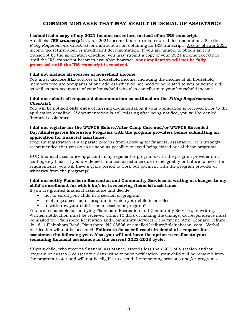## **COMMON MISTAKES THAT MAY RESULT IN DENIAL OF ASSISTANCE**

#### **I submitted a copy of my 2021 income tax return instead of an IRS transcript**.

An official *IRS transcript* of your 2021 income tax return is required documentation. See the *Filing Requirements Checklist* for instructions on obtaining an IRS transcript. A copy of your 2021 income tax return alone is insufficient documentation. If you are unable to obtain an IRS transcript by the application deadline, you may submit a copy of your 2021 income tax return until the IRS transcript becomes available; however, **your application will not be fully processed until the IRS transcript is received.**

#### **I did not include all sources of household income.**

You must disclose **ALL** sources of household income, including the income of all household members who are occupants of one address (they do not need to be related to you or your child), as well as non-occupants of your household who also contribute to your household income.

#### **I did not submit all requested documentation as outlined on the** *Filing Requirements Checklist***.**

You will be notified **only once** of missing documentation if your application is received prior to the application deadline. If documentation is still missing after being notified, you will be denied financial assistance.

#### **I did not register for the WWPCE Before/After Camp Care and/or WWPCE Extended Day/Kindergarten Extension Programs with the program providers before submitting an application for financial assistance.**

Program registration is a separate process from applying for financial assistance. It is strongly recommended that you do so as soon as possible to avoid being closed out of these programs.

HUD financial assistance applicants may register for programs with the program provider on a contingency basis. If you are denied financial assistance due to ineligibility or failure to meet the requirements, you will have a grace period to work out payment with the program provider or withdraw from the program(s).

## **I did not notify Plainsboro Recreation and Community Services in writing of changes to my child's enrollment for which he/she is receiving financial assistance.**

If you are granted financial assistance and decide:

- not to enroll your child in a session or program
- to change a session or program in which your child is enrolled
- to withdraw your child from a session or program\*

You are responsible for notifying Plainsboro Recreation and Community Services, in writing. Written notification must be received within 10 days of making the change. Correspondence must be mailed to: Plainsboro Recreation and Community Services Department, Attn: Leonard Celluro Jr., 641 Plainsboro Road, Plainsboro, NJ 08536 or emailed lcelluro@plainsboronj.com. Verbal notification will not be accepted. **Failure to do so will result in denial of a request for assistance the following year. Also, you will not have the option to reallocate your remaining financial assistance in the current 2022-2023 cycle.**

**\***If your child, who receives financial assistance, attends less than 60% of a session and/or program or misses 3 consecutive days without prior notification, your child will be removed from the program roster and will not be eligible to attend the remaining sessions and/or programs.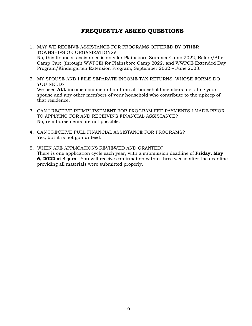## **FREQUENTLY ASKED QUESTIONS**

- 1. MAY WE RECEIVE ASSISTANCE FOR PROGRAMS OFFERED BY OTHER TOWNSHIPS OR ORGANIZATIONS? No, this financial assistance is only for Plainsboro Summer Camp 2022, Before/After Camp Care (through WWPCE) for Plainsboro Camp 2022, and WWPCE Extended Day Program/Kindergarten Extension Program, September 2022 – June 2023.
- 2. MY SPOUSE AND I FILE SEPARATE INCOME TAX RETURNS; WHOSE FORMS DO YOU NEED? We need **ALL** income documentation from all household members including your spouse and any other members of your household who contribute to the upkeep of that residence.
- 3. CAN I RECEIVE REIMBURSEMENT FOR PROGRAM FEE PAYMENTS I MADE PRIOR TO APPLYING FOR AND RECEIVING FINANCIAL ASSISTANCE? No, reimbursements are not possible.
- 4. CAN I RECEIVE FULL FINANCIAL ASSISTANCE FOR PROGRAMS? Yes, but it is not guaranteed.
- 5. WHEN ARE APPLICATIONS REVIEWED AND GRANTED? There is one application cycle each year, with a submission deadline of **Friday, May 6, 2022 at 4 p.m**. You will receive confirmation within three weeks after the deadline providing all materials were submitted properly.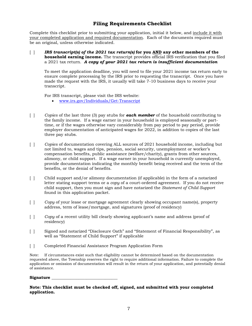## **Filing Requirements Checklist**

Complete this checklist prior to submitting your application, initial it below, and include it with your completed application and required documentation. Each of the documents required must be an original, unless otherwise indicated.

[ ] *IRS transcript(s) of the 2021 tax return(s)* **for you AND any other members of the household earning income.** The transcript provides official IRS verification that you filed a 2021 tax return. *A copy of your 2021 tax return is insufficient documentation*

To meet the application deadline, you will need to file your 2021 income tax return early to ensure complete processing by the IRS prior to requesting the transcript. Once you have made the request with the IRS, it usually will take 7-10 business days to receive your transcript.

For IRS transcript, please visit the IRS website:

- [www.irs.gov/Individuals/Get-Transcript](http://www.irs.gov/Individuals/Get-Transcript)
- [ ] *Copies* of the last three (3) pay stubs for *each member* of the household contributing to the family income. If a wage earner in your household is employed seasonally or parttime, or if the wages otherwise vary considerably from pay period to pay period, provide employer documentation of anticipated wages for 2022, in addition to copies of the last three pay stubs.
- [ ] *Copies* of documentation covering ALL sources of 2021 household income, including but not limited to, wages and tips, pension, social security, unemployment or worker's compensation benefits, public assistance (welfare/charity), grants from other sources, alimony, or child support. If a wage earner in your household is currently unemployed, provide documentation indicating the monthly benefit being received and the term of the benefits, or the denial of benefits.
- [ ] Child support and/or alimony documentation (if applicable) in the form of a notarized letter stating support terms or a *copy* of a court-ordered agreement. If you do not receive child support, then you must sign and have notarized the *Statement of Child Support*  found in this application packet.
- [ ] *Copy* of your lease or mortgage agreement clearly showing occupant name(s), property address, term of lease/mortgage, and signatures (proof of residency)
- [ ] *Copy* of a recent utility bill clearly showing applicant's name and address (proof of residency)
- [ ] Signed and notarized "Disclosure Oath" and "Statement of Financial Responsibility", as well as "Statement of Child Support" if applicable
- [ ] Completed Financial Assistance Program Application Form

Note: If circumstances exist such that eligibility cannot be determined based on the documentation requested above, the Township reserves the right to require additional information. Failure to complete the application or omission of documentation will result in the return of your application, and potentially denial of assistance.

#### **Signature \_\_\_\_\_\_\_\_\_\_\_\_\_\_\_\_\_\_\_\_\_\_\_\_\_\_\_\_\_\_\_\_**

**Note: This checklist must be checked off, signed, and submitted with your completed application.**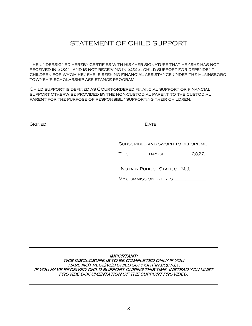## STATEMENT OF CHILD SUPPORT

The undersigned hereby certifies with his/her signature that he/she has not received in 2021, and is not receiving in 2022, child support for dependent children for whom he/she is seeking financial assistance under the Plainsboro township scholarship assistance program.

Child support is defined as Court-ordered financial support or financial support otherwise provided by the non-custodial parent to the custodial parent for the purpose of responsibly supporting their children.

| -<br>---<br>ריור<br>חצו | . .    |
|-------------------------|--------|
| ---                     | .<br>_ |

Subscribed and sworn to before me

This \_\_\_\_\_\_\_\_ day of \_\_\_\_\_\_\_\_\_\_\_ 2022

\_\_\_\_\_\_\_\_\_\_\_\_\_\_\_\_\_\_\_\_\_\_\_\_\_\_\_\_\_\_\_\_\_\_\_\_ Notary Public - State of N.J.

My commission expires \_\_\_\_\_\_\_\_\_\_\_\_\_\_

IMPORTANT: THIS DISCLOSURE IS TO BE COMPLETED ONLY IF YOU HAVE NOT RECEIVED CHILD SUPPORT IN 2021-21. IF YOU HAVE RECEIVED CHILD SUPPORT DURING THIS TIME, INSTEAD YOU MUST PROVIDE DOCUMENTATION OF THE SUPPORT PROVIDED.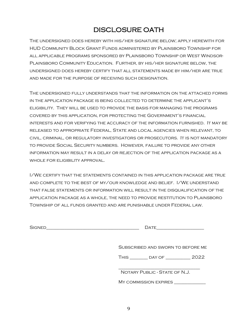## DISCLOSURE OATH

The undersigned does hereby with his/her signature below; apply herewith for HUD Community Block Grant Funds administered by Plainsboro Township for all applicable programs sponsored by Plainsboro Township or West Windsor-Plainsboro Community Education. Further, by his/her signature below, the undersigned does hereby certify that all statements made by him/her are true and made for the purpose of receiving such designation.

The undersigned fully understands that the information on the attached forms in the application package is being collected to determine the applicant's eligibility. They will be used to provide the basis for managing the programs covered by this application, for protecting the Government's financial interests and for verifying the accuracy of the information furnished. It may be released to appropriate Federal, State and local agencies when relevant, to civil, criminal, or regulatory investigators or prosecutors. It is not mandatory to provide Social Security numbers. However, failure to provide any other information may result in a delay or rejection of the application package as a WHOLE FOR ELIGIBILITY APPROVAL.

I/We certify that the statements contained in this application package are true and complete to the best of my/our knowledge and belief. I/We understand that false statements or information will result in the disqualification of the application package as a whole, the need to provide restitution to Plainsboro Township of all funds granted and are punishable under Federal law.

| $\overline{\phantom{0}}$ | ιΔ |
|--------------------------|----|
| ∼<br>---                 |    |

Subscribed and sworn to before me

This \_\_\_\_\_\_\_\_ day of \_\_\_\_\_\_\_\_\_\_\_ 2022

\_\_\_\_\_\_\_\_\_\_\_\_\_\_\_\_\_\_\_\_\_\_\_\_\_\_\_\_\_\_\_\_\_\_\_\_ Notary Public - State of N.J.

My commission expires \_\_\_\_\_\_\_\_\_\_\_\_\_\_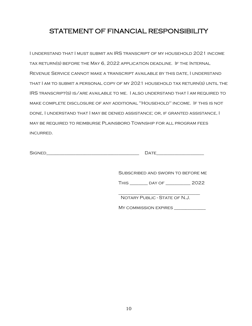## STATEMENT OF FINANCIAL RESPONSIBILITY

I understand that I must submit an IRS transcript of my household 2021 income tax return(s) before the May 6, 2022 application deadline. If the Internal Revenue Service cannot make a transcript available by this date, I understand that I am to submit a personal copy of my 2021 household tax return(s) until the IRS transcript(s) is/are available to me. I also understand that I am required to make complete disclosure of any additional "Household" income. If this is not done, I understand that I may be denied assistance; or, if granted assistance, I may be required to reimburse Plainsboro Township for all program fees incurred.

| ∽<br>. .<br>--<br>ີ<br>--- |   |
|----------------------------|---|
| --                         | . |

Subscribed and sworn to before me

This \_\_\_\_\_\_\_\_ day of \_\_\_\_\_\_\_\_\_\_\_ 2022

\_\_\_\_\_\_\_\_\_\_\_\_\_\_\_\_\_\_\_\_\_\_\_\_\_\_\_\_\_\_\_\_\_\_\_\_ Notary Public - State of N.J.

MY COMMISSION EXPIRES \_\_\_\_\_\_\_\_\_\_\_\_\_\_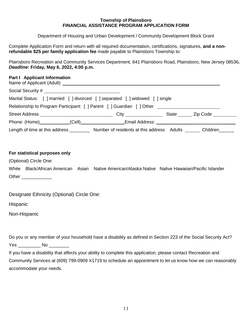#### **Township of Plainsboro FINANCIAL ASSISTANCE PROGRAM APPLICATION FORM**

Department of Housing and Urban Development / Community Development Block Grant

Complete Application Form and return with all required documentation, certifications, signatures, **and a nonrefundable \$25 per family application fee** made payable to Plainsboro Township to:

Plainsboro Recreation and Community Services Department, 641 Plainsboro Road, Plainsboro, New Jersey 08536**.**  *Deadline***: Friday, May 6, 2022, 4:00 p.m.** 

#### **Part I Applicant Information**

|                                         | Marital Status: [ ] married [ ] divorced [ ] separated [ ] widowed [ ] single    |                |  |
|-----------------------------------------|----------------------------------------------------------------------------------|----------------|--|
|                                         | Relationship to Program Participant: [] Parent [] Guardian [] Other ____________ |                |  |
|                                         | $\mathsf{City} \hspace{2em}$                                                     | State Zip Code |  |
|                                         |                                                                                  |                |  |
| Length of time at this address ________ | Number of residents at this address Adults                                       | Children       |  |

## **For statistical purposes only**

(Optional) Circle One:

|       |  | White Black/African American Asian Native American/Alaska Native Native Hawaiian/Pacific Islander |
|-------|--|---------------------------------------------------------------------------------------------------|
| Other |  |                                                                                                   |

Designate Ethnicity (Optional) Circle One:

Hispanic

Non-Hispanic

Do you or any member of your household have a disability as defined in Section 223 of the Social Security Act? Yes \_\_\_\_\_\_\_ No \_\_\_\_\_\_\_

If you have a disability that affects your ability to complete this application, please contact Recreation and Community Services at (609) 799-0909 X1719 to schedule an appointment to let us know how we can reasonably accommodate your needs.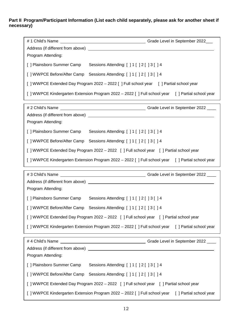## **Part II Program/Participant Information (List each child separately, please ask for another sheet if necessary)**

| Program Attending:                                                                             |                                                                                                |  |  |
|------------------------------------------------------------------------------------------------|------------------------------------------------------------------------------------------------|--|--|
| [ ] Plainsboro Summer Camp                                                                     | Sessions Attending: [ ] 1 [ ] 2 [ ] 3 [ ] 4                                                    |  |  |
|                                                                                                | [ ] WWPCE Before/After Camp Sessions Attending: [ ] 1 [ ] 2 [ ] 3 [ ] 4                        |  |  |
| [] WWPCE Extended Day Program 2022 - 2022 [] Full school year [] Partial school year           |                                                                                                |  |  |
|                                                                                                | [] WWPCE Kindergarten Extension Program 2022 - 2022 [] Full school year [] Partial school year |  |  |
|                                                                                                |                                                                                                |  |  |
|                                                                                                |                                                                                                |  |  |
| Program Attending:                                                                             |                                                                                                |  |  |
| [ ] Plainsboro Summer Camp                                                                     | Sessions Attending: [ ] 1 [ ] 2 [ ] 3 [ ] 4                                                    |  |  |
|                                                                                                | [] WWPCE Before/After Camp Sessions Attending: [] 1 [] 2 [] 3 [] 4                             |  |  |
|                                                                                                | [] WWPCE Extended Day Program 2022 - 2022 [] Full school year [] Partial school year           |  |  |
|                                                                                                | [] WWPCE Kindergarten Extension Program 2022 – 2022 [] Full school year [] Partial school year |  |  |
|                                                                                                |                                                                                                |  |  |
|                                                                                                |                                                                                                |  |  |
| Program Attending:                                                                             |                                                                                                |  |  |
| [ ] Plainsboro Summer Camp                                                                     | Sessions Attending: [ ] 1 [ ] 2 [ ] 3 [ ] 4                                                    |  |  |
|                                                                                                | [] WWPCE Before/After Camp Sessions Attending: [] 1 [] 2 [] 3 [] 4                             |  |  |
| [] WWPCE Extended Day Program 2022 - 2022 [] Full school year [] Partial school year           |                                                                                                |  |  |
| [] WWPCE Kindergarten Extension Program 2022 - 2022 [] Full school year [] Partial school year |                                                                                                |  |  |
| #4 Child's Name                                                                                |                                                                                                |  |  |
|                                                                                                |                                                                                                |  |  |
| Program Attending:                                                                             |                                                                                                |  |  |
| [ ] Plainsboro Summer Camp                                                                     | Sessions Attending: [ ] 1 [ ] 2 [ ] 3 [ ] 4                                                    |  |  |
|                                                                                                | [] WWPCE Before/After Camp Sessions Attending: [] 1 [] 2 [] 3 [] 4                             |  |  |
|                                                                                                | [] WWPCE Extended Day Program 2022 - 2022 [] Full school year [] Partial school year           |  |  |
|                                                                                                | [] WWPCE Kindergarten Extension Program 2022 - 2022 [] Full school year [] Partial school year |  |  |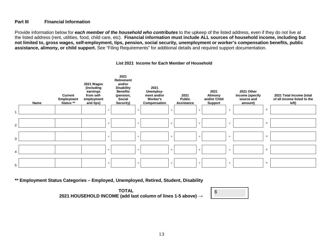#### **Part III Financial Information**

Provide information below for *each member of the household who contributes* to the upkeep of the listed address, even if they do not live at the listed address (rent, utilities, food, child care, etc). **Financial information must include ALL sources of household income, including but not limited to, gross wages, self-employment, tips, pension, social security, unemployment or worker's compensation benefits, public assistance, alimony, or child support.** See "Filing Requirements" for additional details and required support documentation.



#### **List 2021 Income for Each Member of Household**

**\*\* Employment Status Categories – Employed, Unemployed, Retired, Student, Disability** 

**TOTAL <sup>2021</sup> HOUSEHOLD INCOME (add last column of lines 1-5 above) <sup>→</sup>** \$